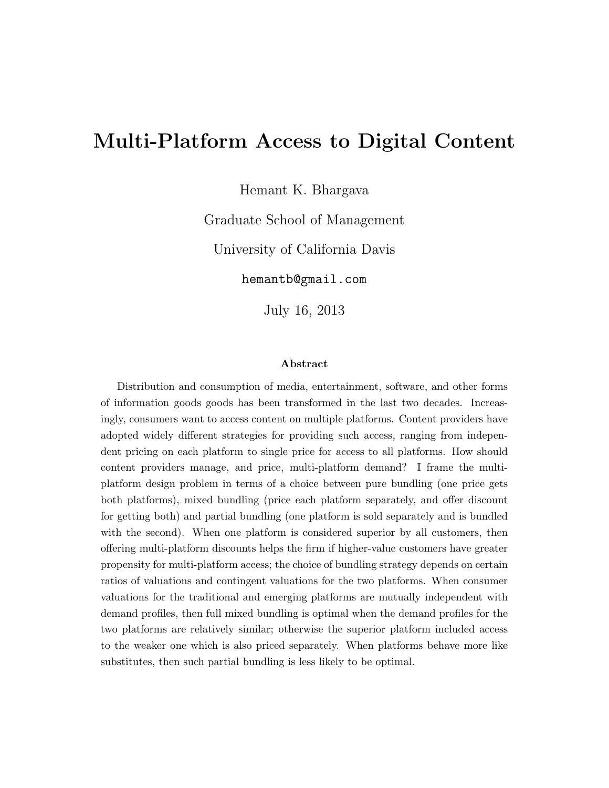# Multi-Platform Access to Digital Content

Hemant K. Bhargava

Graduate School of Management

University of California Davis

hemantb@gmail.com

July 16, 2013

#### Abstract

Distribution and consumption of media, entertainment, software, and other forms of information goods goods has been transformed in the last two decades. Increasingly, consumers want to access content on multiple platforms. Content providers have adopted widely different strategies for providing such access, ranging from independent pricing on each platform to single price for access to all platforms. How should content providers manage, and price, multi-platform demand? I frame the multiplatform design problem in terms of a choice between pure bundling (one price gets both platforms), mixed bundling (price each platform separately, and offer discount for getting both) and partial bundling (one platform is sold separately and is bundled with the second). When one platform is considered superior by all customers, then offering multi-platform discounts helps the firm if higher-value customers have greater propensity for multi-platform access; the choice of bundling strategy depends on certain ratios of valuations and contingent valuations for the two platforms. When consumer valuations for the traditional and emerging platforms are mutually independent with demand profiles, then full mixed bundling is optimal when the demand profiles for the two platforms are relatively similar; otherwise the superior platform included access to the weaker one which is also priced separately. When platforms behave more like substitutes, then such partial bundling is less likely to be optimal.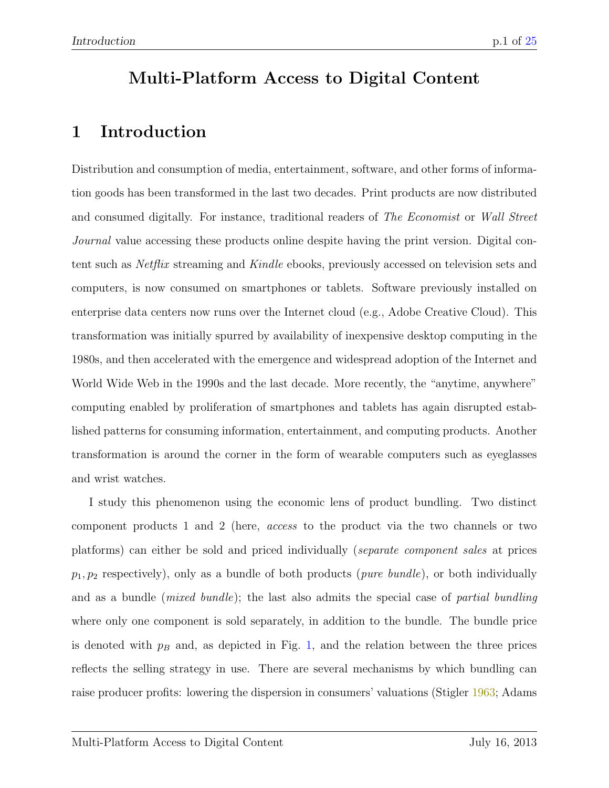# Multi-Platform Access to Digital Content

# <span id="page-1-0"></span>1 Introduction

Distribution and consumption of media, entertainment, software, and other forms of information goods has been transformed in the last two decades. Print products are now distributed and consumed digitally. For instance, traditional readers of The Economist or Wall Street Journal value accessing these products online despite having the print version. Digital content such as Netflix streaming and Kindle ebooks, previously accessed on television sets and computers, is now consumed on smartphones or tablets. Software previously installed on enterprise data centers now runs over the Internet cloud (e.g., Adobe Creative Cloud). This transformation was initially spurred by availability of inexpensive desktop computing in the 1980s, and then accelerated with the emergence and widespread adoption of the Internet and World Wide Web in the 1990s and the last decade. More recently, the "anytime, anywhere" computing enabled by proliferation of smartphones and tablets has again disrupted established patterns for consuming information, entertainment, and computing products. Another transformation is around the corner in the form of wearable computers such as eyeglasses and wrist watches.

I study this phenomenon using the economic lens of product bundling. Two distinct component products 1 and 2 (here, access to the product via the two channels or two platforms) can either be sold and priced individually (separate component sales at prices  $p_1, p_2$  respectively), only as a bundle of both products (*pure bundle*), or both individually and as a bundle (*mixed bundle*); the last also admits the special case of *partial bundling* where only one component is sold separately, in addition to the bundle. The bundle price is denoted with  $p_B$  and, as depicted in Fig. [1,](#page-2-0) and the relation between the three prices reflects the selling strategy in use. There are several mechanisms by which bundling can raise producer profits: lowering the dispersion in consumers' valuations (Stigler [1963;](#page-22-0) Adams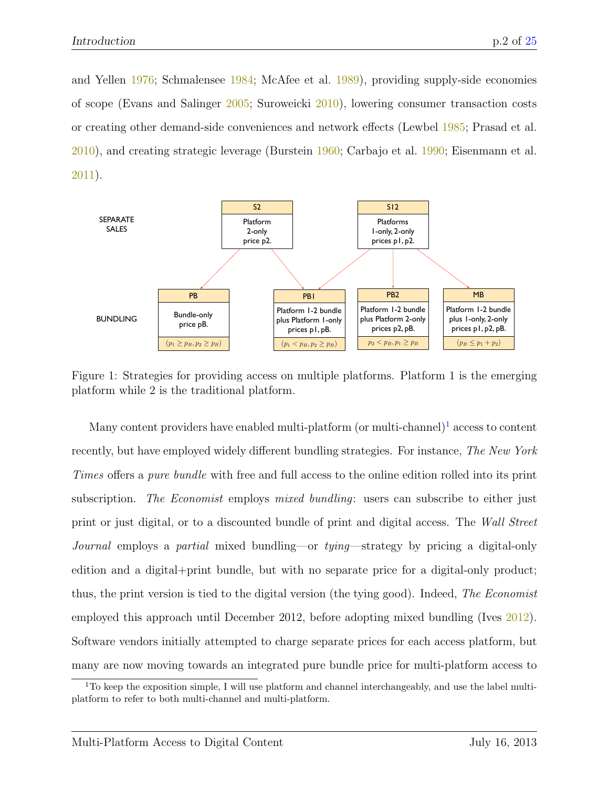and Yellen [1976;](#page-21-0) Schmalensee [1984;](#page-22-1) McAfee et al. [1989\)](#page-22-2), providing supply-side economies of scope (Evans and Salinger [2005;](#page-22-3) Suroweicki [2010\)](#page-22-4), lowering consumer transaction costs or creating other demand-side conveniences and network effects (Lewbel [1985;](#page-22-5) Prasad et al. [2010\)](#page-22-6), and creating strategic leverage (Burstein [1960;](#page-21-1) Carbajo et al. [1990;](#page-21-2) Eisenmann et al. [2011\)](#page-21-3).



<span id="page-2-0"></span>Figure 1: Strategies for providing access on multiple platforms. Platform 1 is the emerging platform while 2 is the traditional platform.

Many content providers have enabled multi-platform (or multi-channel)<sup>[1](#page-2-1)</sup> access to content recently, but have employed widely different bundling strategies. For instance, The New York Times offers a pure bundle with free and full access to the online edition rolled into its print subscription. The Economist employs mixed bundling: users can subscribe to either just print or just digital, or to a discounted bundle of print and digital access. The Wall Street Journal employs a partial mixed bundling—or tying—strategy by pricing a digital-only edition and a digital+print bundle, but with no separate price for a digital-only product; thus, the print version is tied to the digital version (the tying good). Indeed, The Economist employed this approach until December 2012, before adopting mixed bundling (Ives  $2012$ ). Software vendors initially attempted to charge separate prices for each access platform, but many are now moving towards an integrated pure bundle price for multi-platform access to

<span id="page-2-1"></span><sup>&</sup>lt;sup>1</sup>To keep the exposition simple, I will use platform and channel interchangeably, and use the label multiplatform to refer to both multi-channel and multi-platform.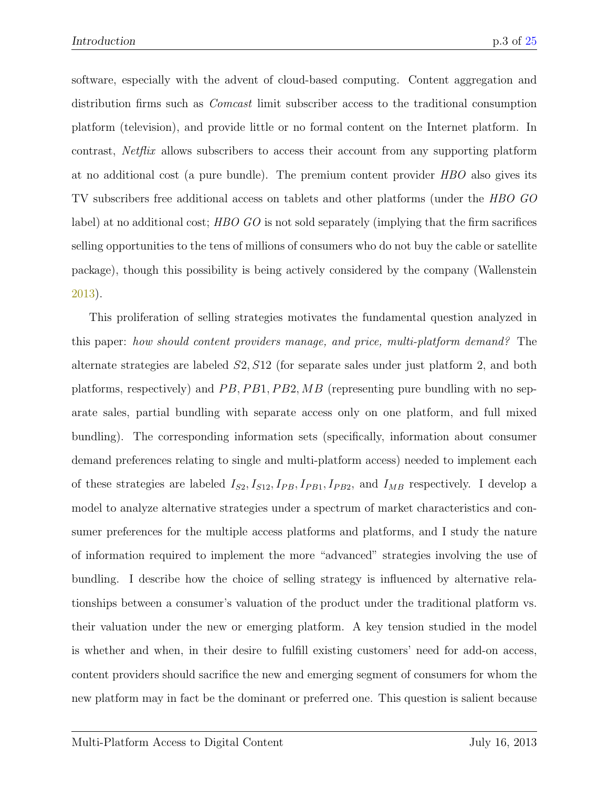software, especially with the advent of cloud-based computing. Content aggregation and distribution firms such as *Comcast* limit subscriber access to the traditional consumption platform (television), and provide little or no formal content on the Internet platform. In contrast, Netflix allows subscribers to access their account from any supporting platform at no additional cost (a pure bundle). The premium content provider HBO also gives its TV subscribers free additional access on tablets and other platforms (under the HBO GO label) at no additional cost; HBO GO is not sold separately (implying that the firm sacrifices selling opportunities to the tens of millions of consumers who do not buy the cable or satellite package), though this possibility is being actively considered by the company (Wallenstein [2013\)](#page-23-0).

This proliferation of selling strategies motivates the fundamental question analyzed in this paper: how should content providers manage, and price, multi-platform demand? The alternate strategies are labeled S2, S12 (for separate sales under just platform 2, and both platforms, respectively) and  $PB$ ,  $PB1$ ,  $PB2$ ,  $MB$  (representing pure bundling with no separate sales, partial bundling with separate access only on one platform, and full mixed bundling). The corresponding information sets (specifically, information about consumer demand preferences relating to single and multi-platform access) needed to implement each of these strategies are labeled  $I_{S2}, I_{S12}, I_{PB}, I_{PB1}, I_{PB2}$ , and  $I_{MB}$  respectively. I develop a model to analyze alternative strategies under a spectrum of market characteristics and consumer preferences for the multiple access platforms and platforms, and I study the nature of information required to implement the more "advanced" strategies involving the use of bundling. I describe how the choice of selling strategy is influenced by alternative relationships between a consumer's valuation of the product under the traditional platform vs. their valuation under the new or emerging platform. A key tension studied in the model is whether and when, in their desire to fulfill existing customers' need for add-on access, content providers should sacrifice the new and emerging segment of consumers for whom the new platform may in fact be the dominant or preferred one. This question is salient because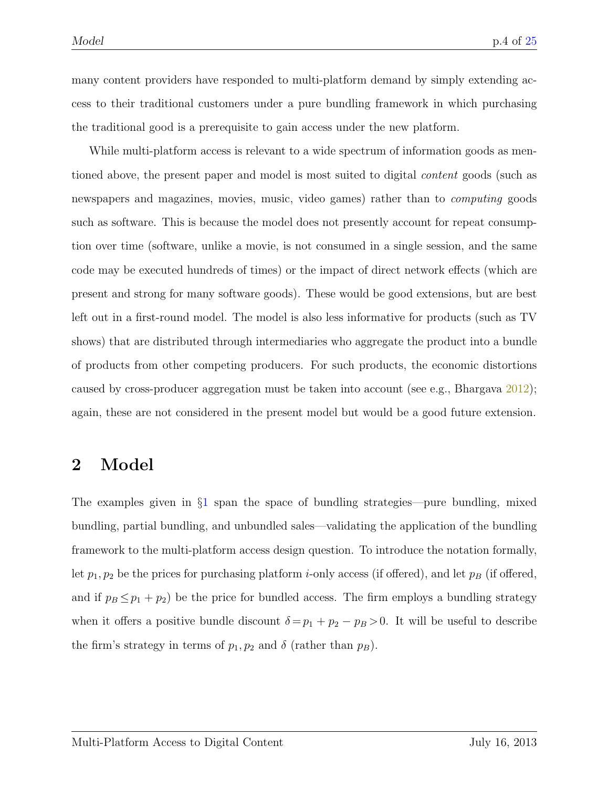many content providers have responded to multi-platform demand by simply extending access to their traditional customers under a pure bundling framework in which purchasing the traditional good is a prerequisite to gain access under the new platform.

While multi-platform access is relevant to a wide spectrum of information goods as mentioned above, the present paper and model is most suited to digital content goods (such as newspapers and magazines, movies, music, video games) rather than to computing goods such as software. This is because the model does not presently account for repeat consumption over time (software, unlike a movie, is not consumed in a single session, and the same code may be executed hundreds of times) or the impact of direct network effects (which are present and strong for many software goods). These would be good extensions, but are best left out in a first-round model. The model is also less informative for products (such as TV shows) that are distributed through intermediaries who aggregate the product into a bundle of products from other competing producers. For such products, the economic distortions caused by cross-producer aggregation must be taken into account (see e.g., Bhargava  $2012$ ); again, these are not considered in the present model but would be a good future extension.

### 2 Model

The examples given in §[1](#page-1-0) span the space of bundling strategies—pure bundling, mixed bundling, partial bundling, and unbundled sales—validating the application of the bundling framework to the multi-platform access design question. To introduce the notation formally, let  $p_1, p_2$  be the prices for purchasing platform *i*-only access (if offered), and let  $p_B$  (if offered, and if  $p_B \leq p_1 + p_2$ ) be the price for bundled access. The firm employs a bundling strategy when it offers a positive bundle discount  $\delta = p_1 + p_2 - p_B > 0$ . It will be useful to describe the firm's strategy in terms of  $p_1, p_2$  and  $\delta$  (rather than  $p_B$ ).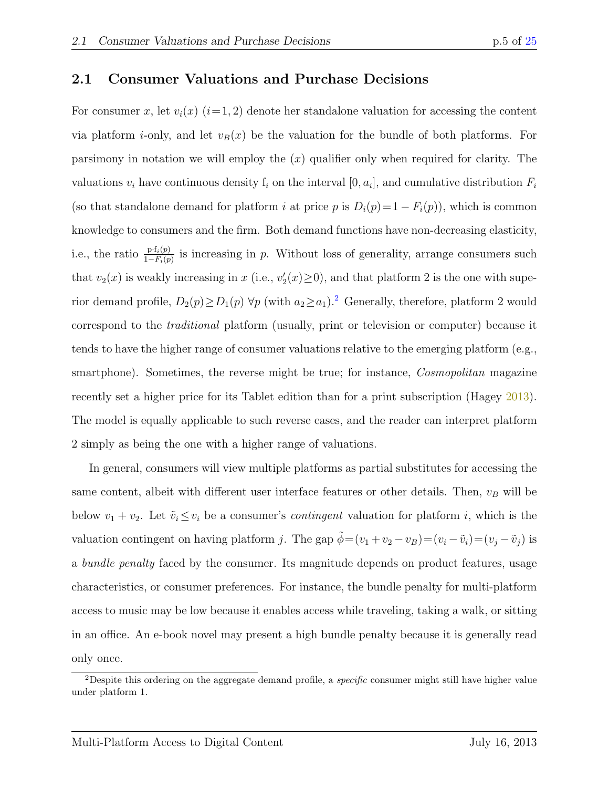### 2.1 Consumer Valuations and Purchase Decisions

For consumer x, let  $v_i(x)$  (i=1,2) denote her standalone valuation for accessing the content via platform *i*-only, and let  $v_B(x)$  be the valuation for the bundle of both platforms. For parsimony in notation we will employ the  $(x)$  qualifier only when required for clarity. The valuations  $v_i$  have continuous density  $f_i$  on the interval  $[0, a_i]$ , and cumulative distribution  $F_i$ (so that standalone demand for platform i at price p is  $D_i(p)=1-F_i(p)$ ), which is common knowledge to consumers and the firm. Both demand functions have non-decreasing elasticity, i.e., the ratio  $\frac{\mathrm{p}\cdot f_i(p)}{1-F_i(p)}$  is increasing in p. Without loss of generality, arrange consumers such that  $v_2(x)$  is weakly increasing in x (i.e.,  $v_2'(x) \ge 0$ ), and that platform 2 is the one with superior demand profile,  $D_2(p) \ge D_1(p)$  $D_2(p) \ge D_1(p)$  $D_2(p) \ge D_1(p)$   $\forall p$  (with  $a_2 \ge a_1$ ).<sup>2</sup> Generally, therefore, platform 2 would correspond to the traditional platform (usually, print or television or computer) because it tends to have the higher range of consumer valuations relative to the emerging platform (e.g., smartphone). Sometimes, the reverse might be true; for instance, *Cosmopolitan* magazine recently set a higher price for its Tablet edition than for a print subscription (Hagey [2013\)](#page-22-8). The model is equally applicable to such reverse cases, and the reader can interpret platform 2 simply as being the one with a higher range of valuations.

In general, consumers will view multiple platforms as partial substitutes for accessing the same content, albeit with different user interface features or other details. Then,  $v_B$  will be below  $v_1 + v_2$ . Let  $\tilde{v}_i \leq v_i$  be a consumer's *contingent* valuation for platform i, which is the valuation contingent on having platform j. The gap  $\tilde{\phi} = (v_1 + v_2 - v_B) = (v_i - \tilde{v}_i) = (v_j - \tilde{v}_j)$  is a bundle penalty faced by the consumer. Its magnitude depends on product features, usage characteristics, or consumer preferences. For instance, the bundle penalty for multi-platform access to music may be low because it enables access while traveling, taking a walk, or sitting in an office. An e-book novel may present a high bundle penalty because it is generally read only once.

<span id="page-5-0"></span><sup>&</sup>lt;sup>2</sup>Despite this ordering on the aggregate demand profile, a *specific* consumer might still have higher value under platform 1.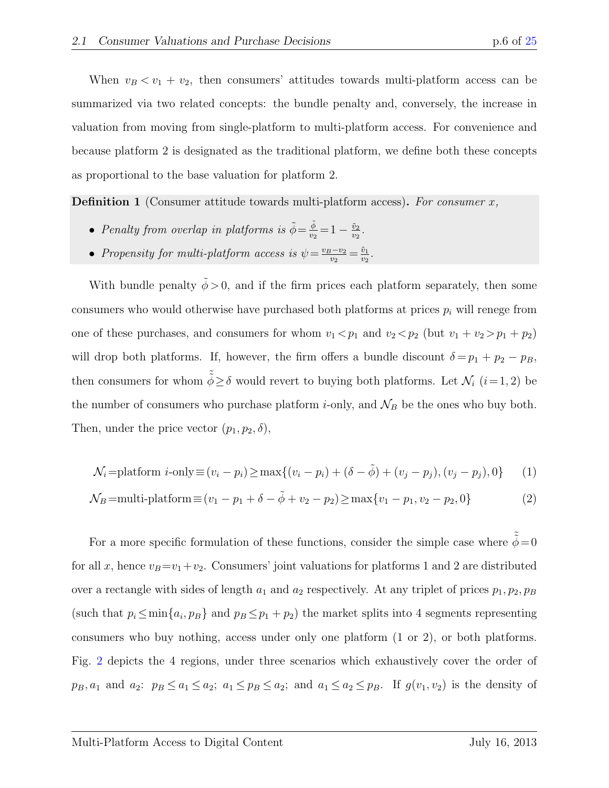When  $v_B < v_1 + v_2$ , then consumers' attitudes towards multi-platform access can be summarized via two related concepts: the bundle penalty and, conversely, the increase in valuation from moving from single-platform to multi-platform access. For convenience and because platform 2 is designated as the traditional platform, we define both these concepts as proportional to the base valuation for platform 2.

**Definition 1** (Consumer attitude towards multi-platform access). For consumer  $x$ ,

- Penalty from overlap in platforms is  $\tilde{\phi} = \frac{\tilde{\phi}}{v_2}$  $\frac{\phi}{v_2} = 1 - \frac{\tilde{v}_2}{v_2}$  $\frac{\tilde{v}_2}{v_2}$  .
- Propensity for multi-platform access is  $\psi = \frac{v_B v_2}{v_2}$  $\frac{v_2 - v_2}{v_2} = \frac{\tilde{v}_1}{v_2}$  $\frac{\tilde{v}_1}{v_2}$  .

With bundle penalty  $\tilde{\phi} > 0$ , and if the firm prices each platform separately, then some consumers who would otherwise have purchased both platforms at prices  $p_i$  will renege from one of these purchases, and consumers for whom  $v_1 < p_1$  and  $v_2 < p_2$  (but  $v_1 + v_2 > p_1 + p_2$ ) will drop both platforms. If, however, the firm offers a bundle discount  $\delta = p_1 + p_2 - p_B$ , then consumers for whom  $\tilde{\phi} \ge \delta$  would revert to buying both platforms. Let  $\mathcal{N}_i$   $(i=1, 2)$  be the number of consumers who purchase platform *i*-only, and  $\mathcal{N}_B$  be the ones who buy both. Then, under the price vector  $(p_1, p_2, \delta)$ ,

<span id="page-6-1"></span><span id="page-6-0"></span>
$$
\mathcal{N}_i = \text{platform } i\text{-only} \equiv (v_i - p_i) \ge \max\{ (v_i - p_i) + (\delta - \tilde{\phi}) + (v_j - p_j), (v_j - p_j), 0 \} \tag{1}
$$

$$
\mathcal{N}_B = \text{multi-platform} \equiv (v_1 - p_1 + \delta - \tilde{\phi} + v_2 - p_2) \ge \max\{v_1 - p_1, v_2 - p_2, 0\} \tag{2}
$$

For a more specific formulation of these functions, consider the simple case where  $\tilde{\phi} = 0$ for all x, hence  $v_B = v_1 + v_2$ . Consumers' joint valuations for platforms 1 and 2 are distributed over a rectangle with sides of length  $a_1$  and  $a_2$  respectively. At any triplet of prices  $p_1, p_2, p_B$ (such that  $p_i \le \min\{a_i, p_B\}$  and  $p_B \le p_1 + p_2$ ) the market splits into 4 segments representing consumers who buy nothing, access under only one platform (1 or 2), or both platforms. Fig. [2](#page-7-0) depicts the 4 regions, under three scenarios which exhaustively cover the order of  $p_B, a_1$  and  $a_2$ :  $p_B \le a_1 \le a_2$ ;  $a_1 \le p_B \le a_2$ ; and  $a_1 \le a_2 \le p_B$ . If  $g(v_1, v_2)$  is the density of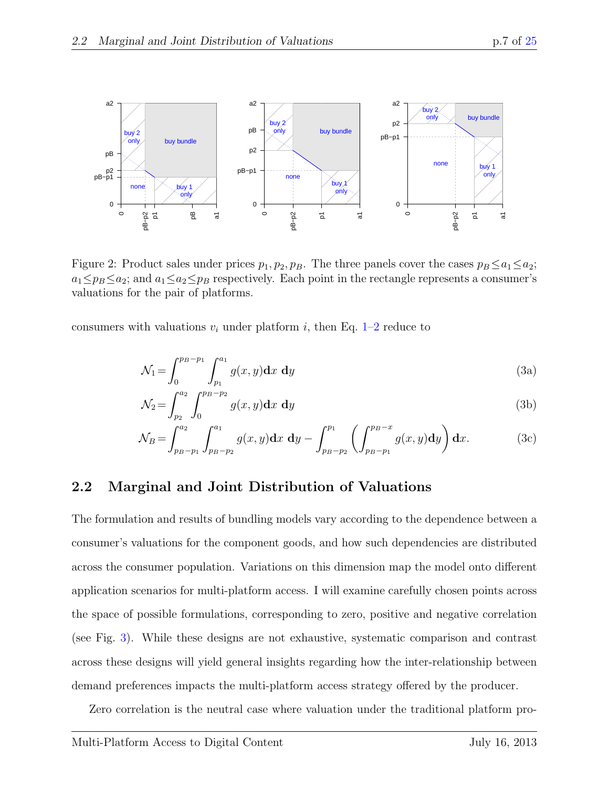

<span id="page-7-0"></span>Figure 2: Product sales under prices  $p_1, p_2, p_B$ . The three panels cover the cases  $p_B \le a_1 \le a_2$ ;  $a_1 \leq p_B \leq a_2$ ; and  $a_1 \leq a_2 \leq p_B$  respectively. Each point in the rectangle represents a consumer's valuations for the pair of platforms.

consumers with valuations  $v_i$  under platform i, then Eq. [1–](#page-6-0)[2](#page-6-1) reduce to

<span id="page-7-1"></span>
$$
\mathcal{N}_1 = \int_0^{p_B - p_1} \int_{p_1}^{a_1} g(x, y) \, dx \, dy \tag{3a}
$$

$$
\mathcal{N}_2 = \int_{p_2}^{a_2} \int_0^{p_B - p_2} g(x, y) \, \mathbf{d}x \, \mathbf{d}y \tag{3b}
$$

$$
\mathcal{N}_B = \int_{p_B - p_1}^{a_2} \int_{p_B - p_2}^{a_1} g(x, y) \, dx \, dy - \int_{p_B - p_2}^{p_1} \left( \int_{p_B - p_1}^{p_B - x} g(x, y) \, dy \right) \, dx. \tag{3c}
$$

#### 2.2 Marginal and Joint Distribution of Valuations

The formulation and results of bundling models vary according to the dependence between a consumer's valuations for the component goods, and how such dependencies are distributed across the consumer population. Variations on this dimension map the model onto different application scenarios for multi-platform access. I will examine carefully chosen points across the space of possible formulations, corresponding to zero, positive and negative correlation (see Fig. [3\)](#page-8-0). While these designs are not exhaustive, systematic comparison and contrast across these designs will yield general insights regarding how the inter-relationship between demand preferences impacts the multi-platform access strategy offered by the producer.

Zero correlation is the neutral case where valuation under the traditional platform pro-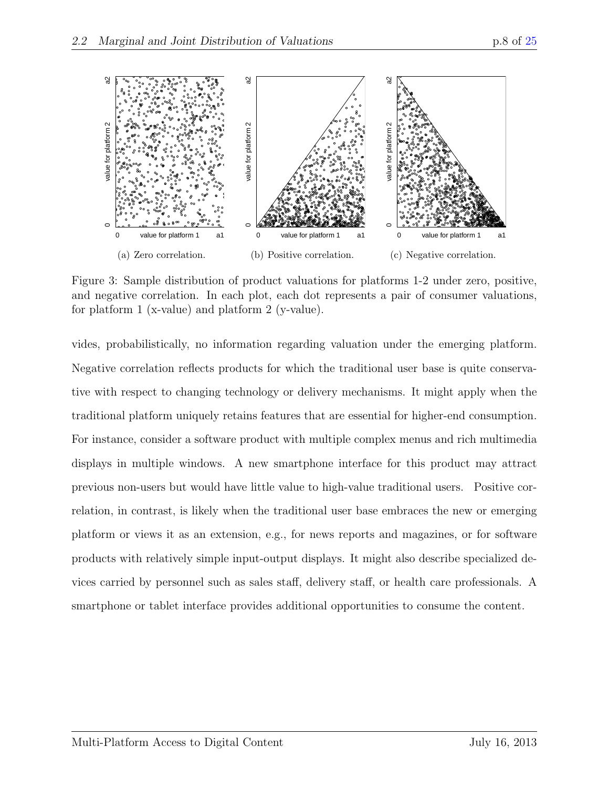

<span id="page-8-0"></span>Figure 3: Sample distribution of product valuations for platforms 1-2 under zero, positive, and negative correlation. In each plot, each dot represents a pair of consumer valuations, for platform 1 (x-value) and platform 2 (y-value).

vides, probabilistically, no information regarding valuation under the emerging platform. Negative correlation reflects products for which the traditional user base is quite conservative with respect to changing technology or delivery mechanisms. It might apply when the traditional platform uniquely retains features that are essential for higher-end consumption. For instance, consider a software product with multiple complex menus and rich multimedia displays in multiple windows. A new smartphone interface for this product may attract previous non-users but would have little value to high-value traditional users. Positive correlation, in contrast, is likely when the traditional user base embraces the new or emerging platform or views it as an extension, e.g., for news reports and magazines, or for software products with relatively simple input-output displays. It might also describe specialized devices carried by personnel such as sales staff, delivery staff, or health care professionals. A smartphone or tablet interface provides additional opportunities to consume the content.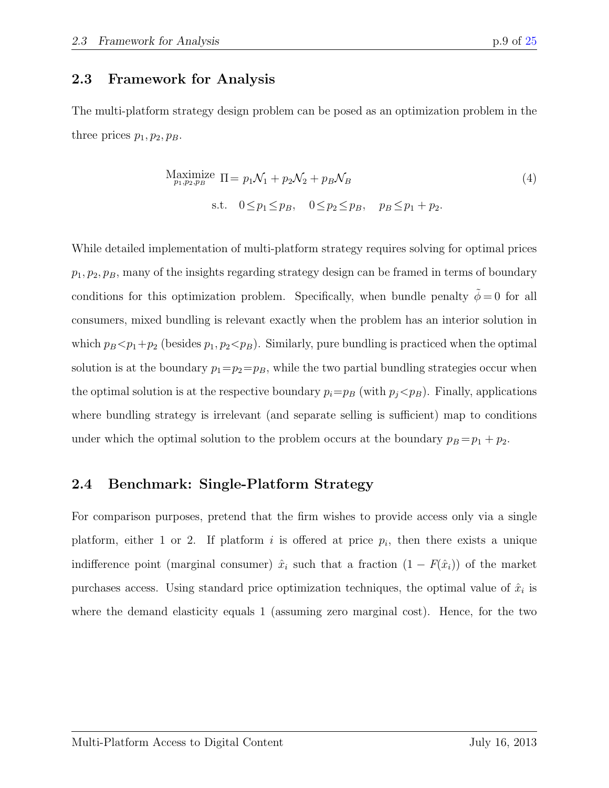#### 2.3 Framework for Analysis

The multi-platform strategy design problem can be posed as an optimization problem in the three prices  $p_1, p_2, p_B$ .

<span id="page-9-0"></span>
$$
\begin{aligned}\n\text{Maximize } \Pi &= p_1 \mathcal{N}_1 + p_2 \mathcal{N}_2 + p_B \mathcal{N}_B \\
\text{s.t. } 0 \le p_1 \le p_B, \quad 0 \le p_2 \le p_B, \quad p_B \le p_1 + p_2.\n\end{aligned} \tag{4}
$$

While detailed implementation of multi-platform strategy requires solving for optimal prices  $p_1, p_2, p_B$ , many of the insights regarding strategy design can be framed in terms of boundary conditions for this optimization problem. Specifically, when bundle penalty  $\tilde{\phi} = 0$  for all consumers, mixed bundling is relevant exactly when the problem has an interior solution in which  $p_B < p_1+p_2$  (besides  $p_1, p_2 < p_B$ ). Similarly, pure bundling is practiced when the optimal solution is at the boundary  $p_1=p_2=p_B$ , while the two partial bundling strategies occur when the optimal solution is at the respective boundary  $p_i=p_B$  (with  $p_j< p_B$ ). Finally, applications where bundling strategy is irrelevant (and separate selling is sufficient) map to conditions under which the optimal solution to the problem occurs at the boundary  $p_B = p_1 + p_2$ .

#### 2.4 Benchmark: Single-Platform Strategy

For comparison purposes, pretend that the firm wishes to provide access only via a single platform, either 1 or 2. If platform i is offered at price  $p_i$ , then there exists a unique indifference point (marginal consumer)  $\hat{x}_i$  such that a fraction  $(1 - F(\hat{x}_i))$  of the market purchases access. Using standard price optimization techniques, the optimal value of  $\hat{x}_i$  is where the demand elasticity equals 1 (assuming zero marginal cost). Hence, for the two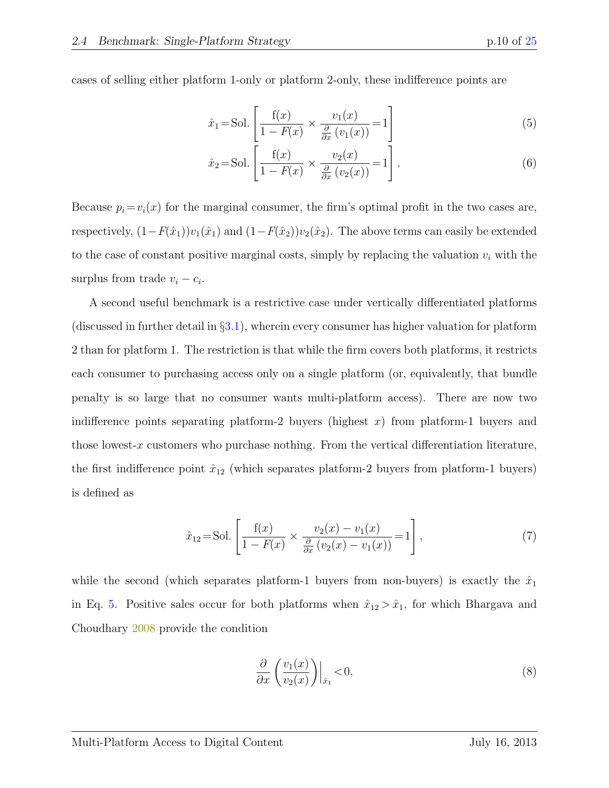cases of selling either platform 1-only or platform 2-only, these indifference points are

<span id="page-10-0"></span>
$$
\hat{x}_1 = \text{Sol.}\left[\frac{f(x)}{1 - F(x)} \times \frac{v_1(x)}{\frac{\partial}{\partial x}(v_1(x))} = 1\right]
$$
\n<sup>(5)</sup>

<span id="page-10-2"></span>
$$
\hat{x}_2 = \text{Sol.}\left[\frac{f(x)}{1 - F(x)} \times \frac{v_2(x)}{\frac{\partial}{\partial x}(v_2(x))} = 1\right].\tag{6}
$$

Because  $p_i = v_i(x)$  for the marginal consumer, the firm's optimal profit in the two cases are, respectively,  $(1-F(\hat{x}_1))v_1(\hat{x}_1)$  and  $(1-F(\hat{x}_2))v_2(\hat{x}_2)$ . The above terms can easily be extended to the case of constant positive marginal costs, simply by replacing the valuation  $v_i$  with the surplus from trade  $v_i - c_i$ .

A second useful benchmark is a restrictive case under vertically differentiated platforms (discussed in further detail in  $\S 3.1$ ), wherein every consumer has higher valuation for platform 2 than for platform 1. The restriction is that while the firm covers both platforms, it restricts each consumer to purchasing access only on a single platform (or, equivalently, that bundle penalty is so large that no consumer wants multi-platform access). There are now two indifference points separating platform-2 buyers (highest  $x$ ) from platform-1 buyers and those lowest-x customers who purchase nothing. From the vertical differentiation literature, the first indifference point  $\hat{x}_{12}$  (which separates platform-2 buyers from platform-1 buyers) is defined as

$$
\hat{x}_{12} = \text{Sol.}\left[\frac{f(x)}{1 - F(x)} \times \frac{v_2(x) - v_1(x)}{\frac{\partial}{\partial x}(v_2(x) - v_1(x))} = 1\right],\tag{7}
$$

while the second (which separates platform-1 buyers from non-buyers) is exactly the  $\hat{x}_1$ in Eq. [5.](#page-10-0) Positive sales occur for both platforms when  $\hat{x}_{12} > \hat{x}_1$ , for which Bhargava and Choudhary [2008](#page-21-5) provide the condition

<span id="page-10-3"></span><span id="page-10-1"></span>
$$
\frac{\partial}{\partial x} \left( \frac{v_1(x)}{v_2(x)} \right) \Big|_{\hat{x}_1} < 0,\tag{8}
$$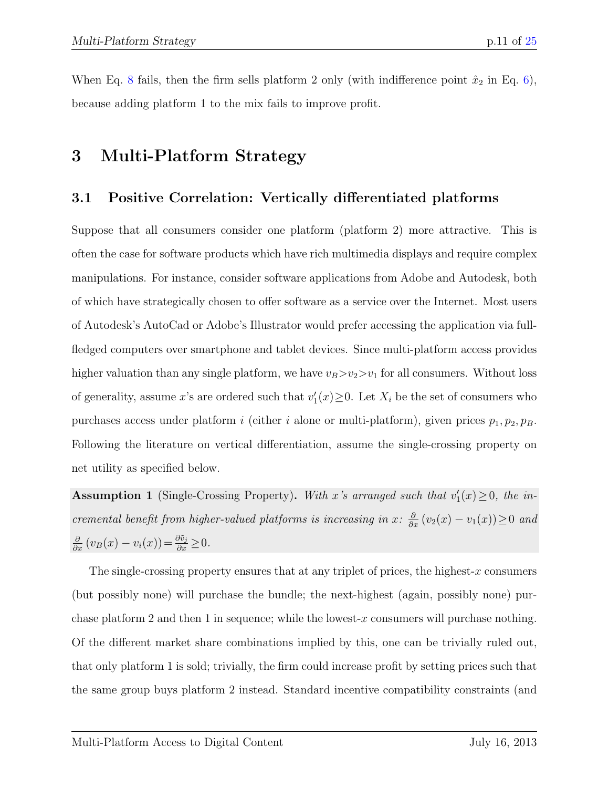When Eq. [8](#page-10-1) fails, then the firm sells platform 2 only (with indifference point  $\hat{x}_2$  in Eq. [6\)](#page-10-2), because adding platform 1 to the mix fails to improve profit.

### 3 Multi-Platform Strategy

### <span id="page-11-0"></span>3.1 Positive Correlation: Vertically differentiated platforms

Suppose that all consumers consider one platform (platform 2) more attractive. This is often the case for software products which have rich multimedia displays and require complex manipulations. For instance, consider software applications from Adobe and Autodesk, both of which have strategically chosen to offer software as a service over the Internet. Most users of Autodesk's AutoCad or Adobe's Illustrator would prefer accessing the application via fullfledged computers over smartphone and tablet devices. Since multi-platform access provides higher valuation than any single platform, we have  $v_B > v_2 > v_1$  for all consumers. Without loss of generality, assume x's are ordered such that  $v'_1(x) \geq 0$ . Let  $X_i$  be the set of consumers who purchases access under platform i (either i alone or multi-platform), given prices  $p_1, p_2, p_B$ . Following the literature on vertical differentiation, assume the single-crossing property on net utility as specified below.

<span id="page-11-1"></span>**Assumption 1** (Single-Crossing Property). With x's arranged such that  $v'_1(x) \ge 0$ , the incremental benefit from higher-valued platforms is increasing in x:  $\frac{\partial}{\partial x}(v_2(x) - v_1(x)) \ge 0$  and  $\frac{\partial}{\partial x} (v_B(x) - v_i(x)) = \frac{\partial \tilde{v}_j}{\partial x} \geq 0.$ 

The single-crossing property ensures that at any triplet of prices, the highest-x consumers (but possibly none) will purchase the bundle; the next-highest (again, possibly none) purchase platform 2 and then 1 in sequence; while the lowest-x consumers will purchase nothing. Of the different market share combinations implied by this, one can be trivially ruled out, that only platform 1 is sold; trivially, the firm could increase profit by setting prices such that the same group buys platform 2 instead. Standard incentive compatibility constraints (and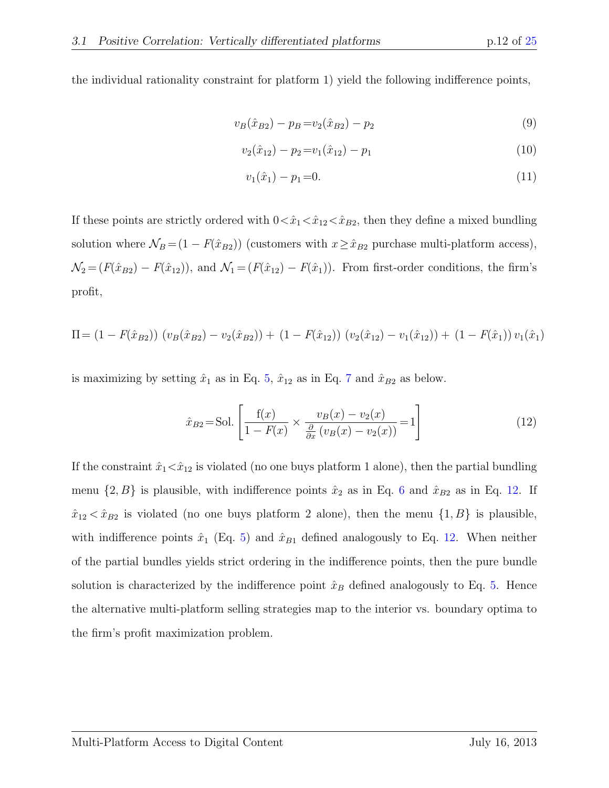the individual rationality constraint for platform 1) yield the following indifference points,

$$
v_B(\hat{x}_{B2}) - p_B = v_2(\hat{x}_{B2}) - p_2 \tag{9}
$$

$$
v_2(\hat{x}_{12}) - p_2 = v_1(\hat{x}_{12}) - p_1 \tag{10}
$$

$$
v_1(\hat{x}_1) - p_1 = 0. \tag{11}
$$

If these points are strictly ordered with  $0 \lt \hat{x}_1 \lt \hat{x}_{12} \lt \hat{x}_{B2}$ , then they define a mixed bundling solution where  $\mathcal{N}_B = (1 - F(\hat{x}_{B2}))$  (customers with  $x \ge \hat{x}_{B2}$  purchase multi-platform access),  $\mathcal{N}_2 = (F(\hat{x}_{B2}) - F(\hat{x}_{12}))$ , and  $\mathcal{N}_1 = (F(\hat{x}_{12}) - F(\hat{x}_1))$ . From first-order conditions, the firm's profit,

$$
\Pi = (1 - F(\hat{x}_{B2})) (v_B(\hat{x}_{B2}) - v_2(\hat{x}_{B2})) + (1 - F(\hat{x}_{12})) (v_2(\hat{x}_{12}) - v_1(\hat{x}_{12})) + (1 - F(\hat{x}_1)) v_1(\hat{x}_1)
$$

is maximizing by setting  $\hat{x}_1$  as in Eq. [5,](#page-10-0)  $\hat{x}_{12}$  as in Eq. [7](#page-10-3) and  $\hat{x}_{B2}$  as below.

<span id="page-12-0"></span>
$$
\hat{x}_{B2} = \text{Sol.} \left[ \frac{f(x)}{1 - F(x)} \times \frac{v_B(x) - v_2(x)}{\frac{\partial}{\partial x} (v_B(x) - v_2(x))} = 1 \right]
$$
\n(12)

If the constraint  $\hat{x}_1 < \hat{x}_{12}$  is violated (no one buys platform 1 alone), then the partial bundling menu  $\{2, B\}$  is plausible, with indifference points  $\hat{x}_2$  as in Eq. [6](#page-10-2) and  $\hat{x}_{B2}$  as in Eq. [12.](#page-12-0) If  $\hat{x}_{12} < \hat{x}_{B2}$  is violated (no one buys platform 2 alone), then the menu  $\{1, B\}$  is plausible, with indifference points  $\hat{x}_1$  (Eq. [5\)](#page-10-0) and  $\hat{x}_{B1}$  defined analogously to Eq. [12.](#page-12-0) When neither of the partial bundles yields strict ordering in the indifference points, then the pure bundle solution is characterized by the indifference point  $\hat{x}_B$  defined analogously to Eq. [5.](#page-10-0) Hence the alternative multi-platform selling strategies map to the interior vs. boundary optima to the firm's profit maximization problem.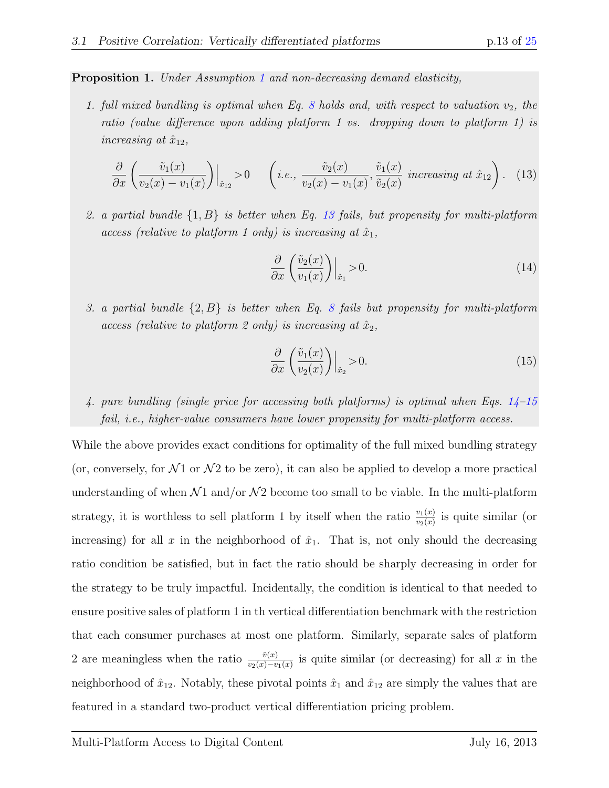<span id="page-13-3"></span>Proposition 1. Under Assumption [1](#page-11-1) and non-decreasing demand elasticity,

1. full mixed bundling is optimal when Eq. [8](#page-10-1) holds and, with respect to valuation  $v_2$ , the ratio (value difference upon adding platform 1 vs. dropping down to platform 1) is increasing at  $\hat{x}_{12}$ ,

$$
\frac{\partial}{\partial x}\left(\frac{\tilde{v}_1(x)}{v_2(x)-v_1(x)}\right)\Big|_{\hat{x}_{12}} > 0 \qquad \left(i.e., \frac{\tilde{v}_2(x)}{v_2(x)-v_1(x)}, \frac{\tilde{v}_1(x)}{\tilde{v}_2(x)} \text{ increasing at } \hat{x}_{12}\right). \tag{13}
$$

2. a partial bundle  $\{1, B\}$  is better when Eq. [13](#page-13-0) fails, but propensity for multi-platform access (relative to platform 1 only) is increasing at  $\hat{x}_1$ ,

<span id="page-13-1"></span><span id="page-13-0"></span>
$$
\frac{\partial}{\partial x} \left( \frac{\tilde{v}_2(x)}{v_1(x)} \right) \Big|_{\hat{x}_1} > 0. \tag{14}
$$

3. a partial bundle  $\{2, B\}$  is better when Eq. [8](#page-10-1) fails but propensity for multi-platform access (relative to platform 2 only) is increasing at  $\hat{x}_2$ ,

<span id="page-13-2"></span>
$$
\frac{\partial}{\partial x} \left( \frac{\tilde{v}_1(x)}{v_2(x)} \right) \Big|_{\hat{x}_2} > 0. \tag{15}
$$

4. pure bundling (single price for accessing both platforms) is optimal when Eqs. [14](#page-13-1)[–15](#page-13-2) fail, i.e., higher-value consumers have lower propensity for multi-platform access.

While the above provides exact conditions for optimality of the full mixed bundling strategy (or, conversely, for  $\mathcal{N}1$  or  $\mathcal{N}2$  to be zero), it can also be applied to develop a more practical understanding of when  $\mathcal{N}1$  and/or  $\mathcal{N}2$  become too small to be viable. In the multi-platform strategy, it is worthless to sell platform 1 by itself when the ratio  $\frac{v_1(x)}{v_2(x)}$  is quite similar (or increasing) for all x in the neighborhood of  $\hat{x}_1$ . That is, not only should the decreasing ratio condition be satisfied, but in fact the ratio should be sharply decreasing in order for the strategy to be truly impactful. Incidentally, the condition is identical to that needed to ensure positive sales of platform 1 in th vertical differentiation benchmark with the restriction that each consumer purchases at most one platform. Similarly, separate sales of platform 2 are meaningless when the ratio  $\frac{\tilde{v}(x)}{v_2(x)-v_1(x)}$  is quite similar (or decreasing) for all x in the neighborhood of  $\hat{x}_{12}$ . Notably, these pivotal points  $\hat{x}_1$  and  $\hat{x}_{12}$  are simply the values that are featured in a standard two-product vertical differentiation pricing problem.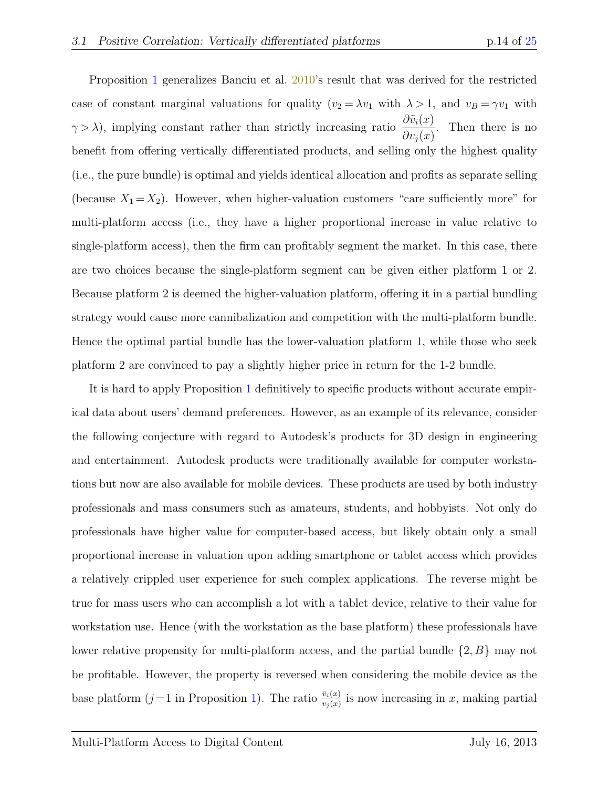Proposition [1](#page-13-3) generalizes Banciu et al. [2010'](#page-21-6)s result that was derived for the restricted case of constant marginal valuations for quality  $(v_2 = \lambda v_1 \text{ with } \lambda > 1$ , and  $v_B = \gamma v_1 \text{ with }$  $\gamma > \lambda$ , implying constant rather than strictly increasing ratio  $\frac{\partial \tilde{v}_i(x)}{\partial \tilde{v}_i(x)}$  $\partial v_j(x)$ . Then there is no benefit from offering vertically differentiated products, and selling only the highest quality (i.e., the pure bundle) is optimal and yields identical allocation and profits as separate selling (because  $X_1 = X_2$ ). However, when higher-valuation customers "care sufficiently more" for multi-platform access (i.e., they have a higher proportional increase in value relative to single-platform access), then the firm can profitably segment the market. In this case, there are two choices because the single-platform segment can be given either platform 1 or 2. Because platform 2 is deemed the higher-valuation platform, offering it in a partial bundling strategy would cause more cannibalization and competition with the multi-platform bundle. Hence the optimal partial bundle has the lower-valuation platform 1, while those who seek platform 2 are convinced to pay a slightly higher price in return for the 1-2 bundle.

It is hard to apply Proposition [1](#page-13-3) definitively to specific products without accurate empirical data about users' demand preferences. However, as an example of its relevance, consider the following conjecture with regard to Autodesk's products for 3D design in engineering and entertainment. Autodesk products were traditionally available for computer workstations but now are also available for mobile devices. These products are used by both industry professionals and mass consumers such as amateurs, students, and hobbyists. Not only do professionals have higher value for computer-based access, but likely obtain only a small proportional increase in valuation upon adding smartphone or tablet access which provides a relatively crippled user experience for such complex applications. The reverse might be true for mass users who can accomplish a lot with a tablet device, relative to their value for workstation use. Hence (with the workstation as the base platform) these professionals have lower relative propensity for multi-platform access, and the partial bundle {2, B} may not be profitable. However, the property is reversed when considering the mobile device as the base platform  $(j=1$  in Proposition [1\)](#page-13-3). The ratio  $\frac{\tilde{v}_i(x)}{v_j(x)}$  is now increasing in x, making partial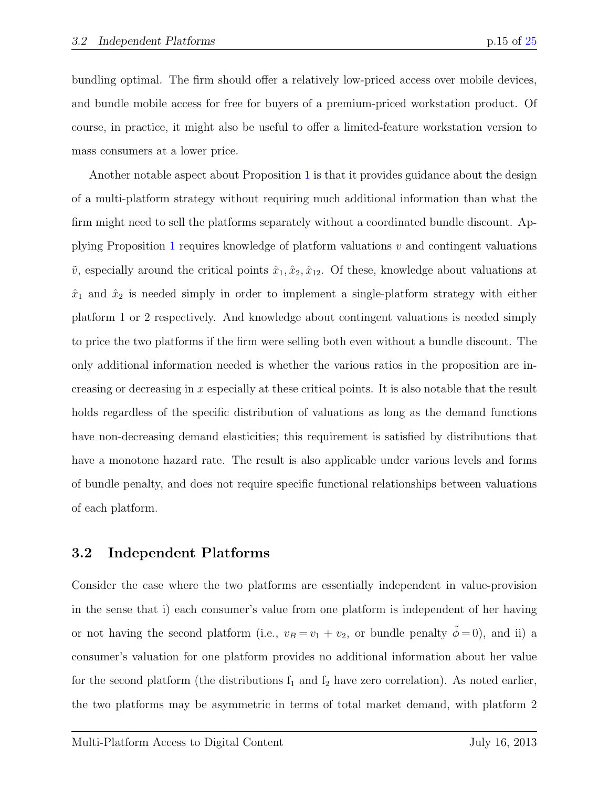bundling optimal. The firm should offer a relatively low-priced access over mobile devices, and bundle mobile access for free for buyers of a premium-priced workstation product. Of course, in practice, it might also be useful to offer a limited-feature workstation version to mass consumers at a lower price.

Another notable aspect about Proposition [1](#page-13-3) is that it provides guidance about the design of a multi-platform strategy without requiring much additional information than what the firm might need to sell the platforms separately without a coordinated bundle discount. Ap-plying Proposition [1](#page-13-3) requires knowledge of platform valuations  $v$  and contingent valuations  $\tilde{v}$ , especially around the critical points  $\hat{x}_1, \hat{x}_2, \hat{x}_1$ . Of these, knowledge about valuations at  $\hat{x}_1$  and  $\hat{x}_2$  is needed simply in order to implement a single-platform strategy with either platform 1 or 2 respectively. And knowledge about contingent valuations is needed simply to price the two platforms if the firm were selling both even without a bundle discount. The only additional information needed is whether the various ratios in the proposition are increasing or decreasing in  $x$  especially at these critical points. It is also notable that the result holds regardless of the specific distribution of valuations as long as the demand functions have non-decreasing demand elasticities; this requirement is satisfied by distributions that have a monotone hazard rate. The result is also applicable under various levels and forms of bundle penalty, and does not require specific functional relationships between valuations of each platform.

#### 3.2 Independent Platforms

Consider the case where the two platforms are essentially independent in value-provision in the sense that i) each consumer's value from one platform is independent of her having or not having the second platform (i.e.,  $v_B = v_1 + v_2$ , or bundle penalty  $\tilde{\phi} = 0$ ), and ii) a consumer's valuation for one platform provides no additional information about her value for the second platform (the distributions  $f_1$  and  $f_2$  have zero correlation). As noted earlier, the two platforms may be asymmetric in terms of total market demand, with platform 2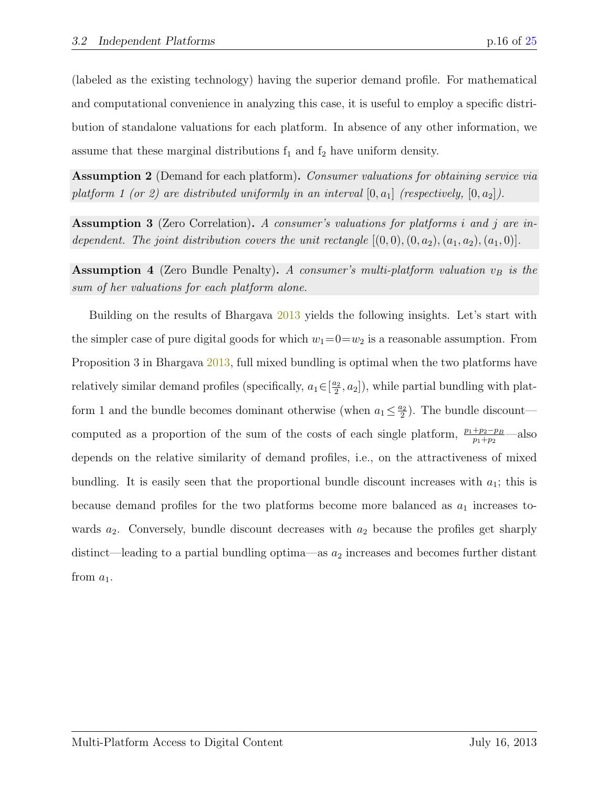(labeled as the existing technology) having the superior demand profile. For mathematical and computational convenience in analyzing this case, it is useful to employ a specific distribution of standalone valuations for each platform. In absence of any other information, we assume that these marginal distributions  $f_1$  and  $f_2$  have uniform density.

<span id="page-16-0"></span>Assumption 2 (Demand for each platform). Consumer valuations for obtaining service via platform 1 (or 2) are distributed uniformly in an interval  $[0, a_1]$  (respectively,  $[0, a_2]$ ).

<span id="page-16-2"></span>Assumption 3 (Zero Correlation). A consumer's valuations for platforms i and j are independent. The joint distribution covers the unit rectangle  $[(0,0),(0,a_2),(a_1,a_2),(a_1,0)].$ 

<span id="page-16-1"></span>**Assumption 4** (Zero Bundle Penalty). A consumer's multi-platform valuation  $v_B$  is the sum of her valuations for each platform alone.

Building on the results of Bhargava [2013](#page-21-7) yields the following insights. Let's start with the simpler case of pure digital goods for which  $w_1=0=w_2$  is a reasonable assumption. From Proposition 3 in Bhargava [2013,](#page-21-7) full mixed bundling is optimal when the two platforms have relatively similar demand profiles (specifically,  $a_1 \in \left[\frac{a_2}{2}\right]$  $\left(\frac{a_2}{2}, a_2\right]$ , while partial bundling with platform 1 and the bundle becomes dominant otherwise (when  $a_1 \leq \frac{a_2}{2}$  $\frac{u_2}{2}$ ). The bundle discount computed as a proportion of the sum of the costs of each single platform,  $\frac{p_1+p_2-p_B}{p_1+p_2}$ —also depends on the relative similarity of demand profiles, i.e., on the attractiveness of mixed bundling. It is easily seen that the proportional bundle discount increases with  $a_1$ ; this is because demand profiles for the two platforms become more balanced as  $a_1$  increases towards  $a_2$ . Conversely, bundle discount decreases with  $a_2$  because the profiles get sharply distinct—leading to a partial bundling optima—as  $a_2$  increases and becomes further distant from  $a_1$ .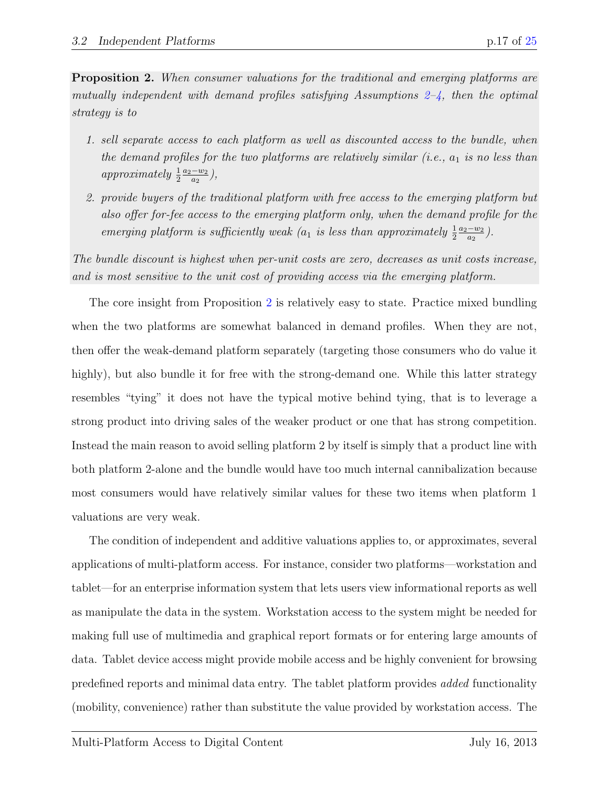<span id="page-17-0"></span>**Proposition 2.** When consumer valuations for the traditional and emerging platforms are mutually independent with demand profiles satisfying Assumptions  $2-4$ , then the optimal strategy is to

- 1. sell separate access to each platform as well as discounted access to the bundle, when the demand profiles for the two platforms are relatively similar  $(i.e., a_1 \text{ is no less than})$ *approximately*  $\frac{1}{2}$  $a_2-w_2$  $\frac{-w_2}{a_2},$
- 2. provide buyers of the traditional platform with free access to the emerging platform but also offer for-fee access to the emerging platform only, when the demand profile for the emerging platform is sufficiently weak ( $a_1$  is less than approximately  $\frac{1}{2}$ )  $a_2-w_2$  $\frac{-w_2}{a_2}$ .

The bundle discount is highest when per-unit costs are zero, decreases as unit costs increase, and is most sensitive to the unit cost of providing access via the emerging platform.

The core insight from Proposition [2](#page-17-0) is relatively easy to state. Practice mixed bundling when the two platforms are somewhat balanced in demand profiles. When they are not, then offer the weak-demand platform separately (targeting those consumers who do value it highly), but also bundle it for free with the strong-demand one. While this latter strategy resembles "tying" it does not have the typical motive behind tying, that is to leverage a strong product into driving sales of the weaker product or one that has strong competition. Instead the main reason to avoid selling platform 2 by itself is simply that a product line with both platform 2-alone and the bundle would have too much internal cannibalization because most consumers would have relatively similar values for these two items when platform 1 valuations are very weak.

The condition of independent and additive valuations applies to, or approximates, several applications of multi-platform access. For instance, consider two platforms—workstation and tablet—for an enterprise information system that lets users view informational reports as well as manipulate the data in the system. Workstation access to the system might be needed for making full use of multimedia and graphical report formats or for entering large amounts of data. Tablet device access might provide mobile access and be highly convenient for browsing predefined reports and minimal data entry. The tablet platform provides added functionality (mobility, convenience) rather than substitute the value provided by workstation access. The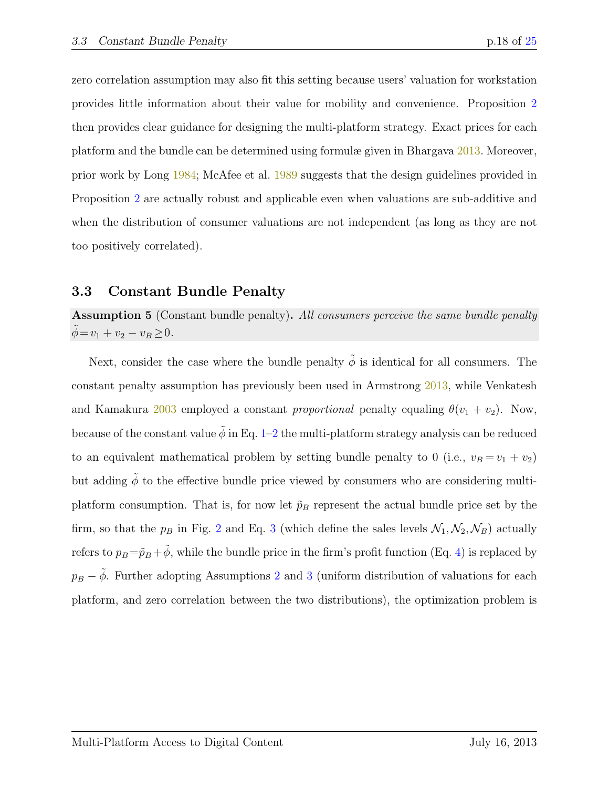zero correlation assumption may also fit this setting because users' valuation for workstation provides little information about their value for mobility and convenience. Proposition [2](#page-17-0) then provides clear guidance for designing the multi-platform strategy. Exact prices for each platform and the bundle can be determined using formulæ given in Bhargava [2013.](#page-21-7) Moreover, prior work by Long [1984;](#page-22-9) McAfee et al. [1989](#page-22-2) suggests that the design guidelines provided in Proposition [2](#page-17-0) are actually robust and applicable even when valuations are sub-additive and when the distribution of consumer valuations are not independent (as long as they are not too positively correlated).

#### 3.3 Constant Bundle Penalty

Assumption 5 (Constant bundle penalty). All consumers perceive the same bundle penalty  $\phi = v_1 + v_2 - v_B \ge 0.$ 

Next, consider the case where the bundle penalty  $\tilde{\phi}$  is identical for all consumers. The constant penalty assumption has previously been used in Armstrong [2013,](#page-21-8) while Venkatesh and Kamakura [2003](#page-22-10) employed a constant *proportional* penalty equaling  $\theta(v_1 + v_2)$ . Now, because of the constant value  $\tilde{\phi}$  in Eq. [1–](#page-6-0)[2](#page-6-1) the multi-platform strategy analysis can be reduced to an equivalent mathematical problem by setting bundle penalty to 0 (i.e.,  $v_B = v_1 + v_2$ ) but adding  $\tilde{\phi}$  to the effective bundle price viewed by consumers who are considering multiplatform consumption. That is, for now let  $\tilde{p}_B$  represent the actual bundle price set by the firm, so that the  $p_B$  in Fig. [2](#page-7-0) and Eq. [3](#page-7-1) (which define the sales levels  $\mathcal{N}_1, \mathcal{N}_2, \mathcal{N}_B$ ) actually refers to  $p_B = \tilde{p}_B + \tilde{\phi}$ , while the bundle price in the firm's profit function (Eq. [4\)](#page-9-0) is replaced by  $p_B - \tilde{\phi}$ . Further adopting Assumptions [2](#page-16-0) and [3](#page-16-2) (uniform distribution of valuations for each platform, and zero correlation between the two distributions), the optimization problem is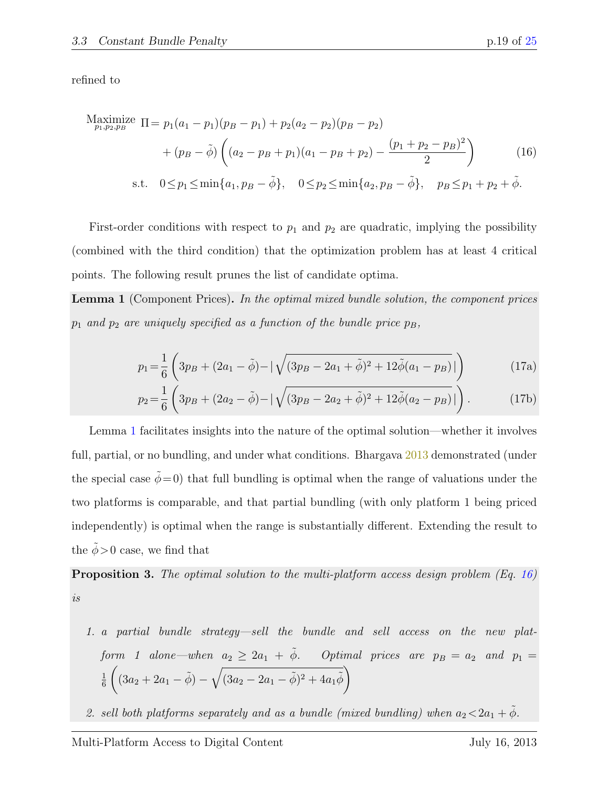refined to

<span id="page-19-1"></span>
$$
\begin{aligned}\n\text{Maximize } \Pi &= p_1(a_1 - p_1)(p_B - p_1) + p_2(a_2 - p_2)(p_B - p_2) \\
&\quad + (p_B - \tilde{\phi}) \left( (a_2 - p_B + p_1)(a_1 - p_B + p_2) - \frac{(p_1 + p_2 - p_B)^2}{2} \right) \\
\text{s.t. } 0 \le p_1 \le \min\{a_1, p_B - \tilde{\phi}\}, \quad 0 \le p_2 \le \min\{a_2, p_B - \tilde{\phi}\}, \quad p_B \le p_1 + p_2 + \tilde{\phi}.\n\end{aligned} \tag{16}
$$

First-order conditions with respect to  $p_1$  and  $p_2$  are quadratic, implying the possibility (combined with the third condition) that the optimization problem has at least 4 critical points. The following result prunes the list of candidate optima.

<span id="page-19-0"></span>**Lemma 1** (Component Prices). In the optimal mixed bundle solution, the component prices  $p_1$  and  $p_2$  are uniquely specified as a function of the bundle price  $p_B$ ,

<span id="page-19-3"></span>
$$
p_1 = \frac{1}{6} \left( 3p_B + (2a_1 - \tilde{\phi}) - |\sqrt{(3p_B - 2a_1 + \tilde{\phi})^2 + 12\tilde{\phi}(a_1 - p_B)}| \right)
$$
(17a)

$$
p_2 = \frac{1}{6} \left( 3p_B + (2a_2 - \tilde{\phi}) - |\sqrt{(3p_B - 2a_2 + \tilde{\phi})^2 + 12\tilde{\phi}(a_2 - p_B)}| \right).
$$
 (17b)

Lemma [1](#page-19-0) facilitates insights into the nature of the optimal solution—whether it involves full, partial, or no bundling, and under what conditions. Bhargava [2013](#page-21-7) demonstrated (under the special case  $\phi=0$ ) that full bundling is optimal when the range of valuations under the two platforms is comparable, and that partial bundling (with only platform 1 being priced independently) is optimal when the range is substantially different. Extending the result to the  $\phi > 0$  case, we find that

<span id="page-19-2"></span>**Proposition 3.** The optimal solution to the multi-platform access design problem (Eq. [16\)](#page-19-1) is

- 1. a partial bundle strategy—sell the bundle and sell access on the new platform 1 alone—when  $a_2 \ge 2a_1 + \tilde{\phi}$ . Optimal prices are  $p_B = a_2$  and  $p_1 =$ 1 6  $((3a_2 + 2a_1 - \tilde{\phi}) - \sqrt{(3a_2 - 2a_1 - \tilde{\phi})^2 + 4a_1\tilde{\phi}})$
- 2. sell both platforms separately and as a bundle (mixed bundling) when  $a_2 < 2a_1 + \tilde{\phi}$ .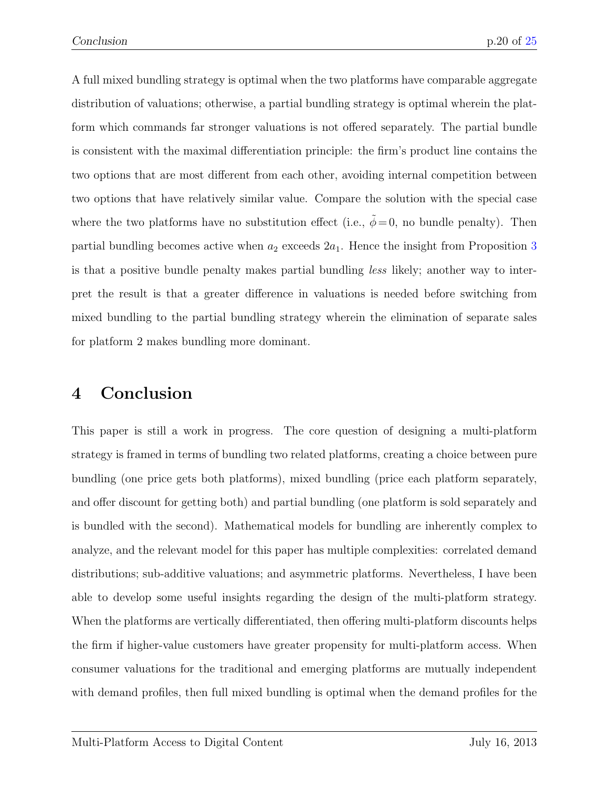A full mixed bundling strategy is optimal when the two platforms have comparable aggregate distribution of valuations; otherwise, a partial bundling strategy is optimal wherein the platform which commands far stronger valuations is not offered separately. The partial bundle is consistent with the maximal differentiation principle: the firm's product line contains the two options that are most different from each other, avoiding internal competition between two options that have relatively similar value. Compare the solution with the special case where the two platforms have no substitution effect (i.e.,  $\tilde{\phi} = 0$ , no bundle penalty). Then partial bundling becomes active when  $a_2$  exceeds  $2a_1$ . Hence the insight from Proposition [3](#page-19-2) is that a positive bundle penalty makes partial bundling less likely; another way to interpret the result is that a greater difference in valuations is needed before switching from mixed bundling to the partial bundling strategy wherein the elimination of separate sales for platform 2 makes bundling more dominant.

# 4 Conclusion

This paper is still a work in progress. The core question of designing a multi-platform strategy is framed in terms of bundling two related platforms, creating a choice between pure bundling (one price gets both platforms), mixed bundling (price each platform separately, and offer discount for getting both) and partial bundling (one platform is sold separately and is bundled with the second). Mathematical models for bundling are inherently complex to analyze, and the relevant model for this paper has multiple complexities: correlated demand distributions; sub-additive valuations; and asymmetric platforms. Nevertheless, I have been able to develop some useful insights regarding the design of the multi-platform strategy. When the platforms are vertically differentiated, then offering multi-platform discounts helps the firm if higher-value customers have greater propensity for multi-platform access. When consumer valuations for the traditional and emerging platforms are mutually independent with demand profiles, then full mixed bundling is optimal when the demand profiles for the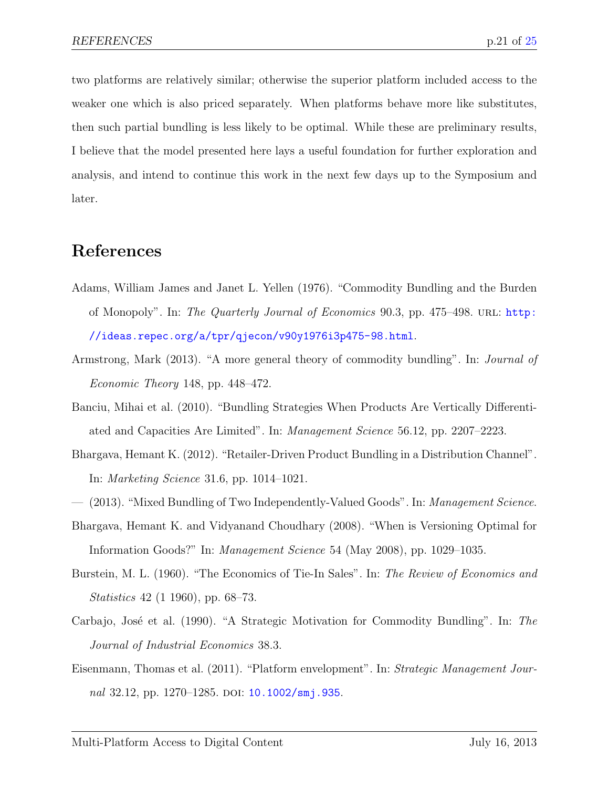two platforms are relatively similar; otherwise the superior platform included access to the weaker one which is also priced separately. When platforms behave more like substitutes, then such partial bundling is less likely to be optimal. While these are preliminary results, I believe that the model presented here lays a useful foundation for further exploration and analysis, and intend to continue this work in the next few days up to the Symposium and later.

### References

- <span id="page-21-0"></span>Adams, William James and Janet L. Yellen (1976). "Commodity Bundling and the Burden of Monopoly". In: The Quarterly Journal of Economics 90.3, pp. 475–498. URL: [http:](http://ideas.repec.org/a/tpr/qjecon/v90y1976i3p475-98.html) [//ideas.repec.org/a/tpr/qjecon/v90y1976i3p475-98.html](http://ideas.repec.org/a/tpr/qjecon/v90y1976i3p475-98.html).
- <span id="page-21-8"></span>Armstrong, Mark (2013). "A more general theory of commodity bundling". In: Journal of Economic Theory 148, pp. 448–472.
- <span id="page-21-6"></span>Banciu, Mihai et al. (2010). "Bundling Strategies When Products Are Vertically Differentiated and Capacities Are Limited". In: Management Science 56.12, pp. 2207–2223.
- <span id="page-21-4"></span>Bhargava, Hemant K. (2012). "Retailer-Driven Product Bundling in a Distribution Channel". In: Marketing Science 31.6, pp. 1014–1021.
- <span id="page-21-7"></span>— (2013). "Mixed Bundling of Two Independently-Valued Goods". In: Management Science.
- <span id="page-21-5"></span>Bhargava, Hemant K. and Vidyanand Choudhary (2008). "When is Versioning Optimal for Information Goods?" In: Management Science 54 (May 2008), pp. 1029–1035.
- <span id="page-21-1"></span>Burstein, M. L. (1960). "The Economics of Tie-In Sales". In: The Review of Economics and Statistics 42 (1 1960), pp. 68–73.
- <span id="page-21-2"></span>Carbajo, José et al. (1990). "A Strategic Motivation for Commodity Bundling". In: The Journal of Industrial Economics 38.3.
- <span id="page-21-3"></span>Eisenmann, Thomas et al. (2011). "Platform envelopment". In: Strategic Management Jour-nal 32.12, pp. 1270–1285. doi: [10.1002/smj.935](http://dx.doi.org/10.1002/smj.935).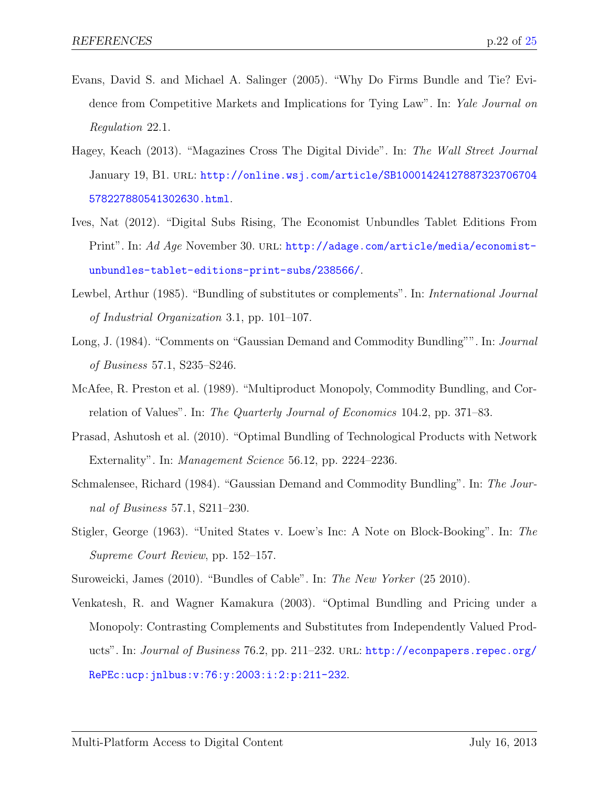- <span id="page-22-3"></span>Evans, David S. and Michael A. Salinger (2005). "Why Do Firms Bundle and Tie? Evidence from Competitive Markets and Implications for Tying Law". In: Yale Journal on Regulation 22.1.
- <span id="page-22-8"></span>Hagey, Keach (2013). "Magazines Cross The Digital Divide". In: The Wall Street Journal January 19, B1. url: [http://online.wsj.com/article/SB10001424127887323706704](http://online.wsj.com/article/SB10001424127887323706704578227880541302630.html) [578227880541302630.html](http://online.wsj.com/article/SB10001424127887323706704578227880541302630.html).
- <span id="page-22-7"></span>Ives, Nat (2012). "Digital Subs Rising, The Economist Unbundles Tablet Editions From Print". In: Ad Age November 30. URL: [http://adage.com/article/media/economist](http://adage.com/article/media/economist-unbundles-tablet-editions-print-subs/238566/)[unbundles-tablet-editions-print-subs/238566/](http://adage.com/article/media/economist-unbundles-tablet-editions-print-subs/238566/).
- <span id="page-22-5"></span>Lewbel, Arthur (1985). "Bundling of substitutes or complements". In: International Journal of Industrial Organization 3.1, pp. 101–107.
- <span id="page-22-9"></span>Long, J. (1984). "Comments on "Gaussian Demand and Commodity Bundling"". In: *Journal* of Business 57.1, S235–S246.
- <span id="page-22-2"></span>McAfee, R. Preston et al. (1989). "Multiproduct Monopoly, Commodity Bundling, and Correlation of Values". In: The Quarterly Journal of Economics 104.2, pp. 371–83.
- <span id="page-22-6"></span>Prasad, Ashutosh et al. (2010). "Optimal Bundling of Technological Products with Network Externality". In: *Management Science* 56.12, pp. 2224–2236.
- <span id="page-22-1"></span>Schmalensee, Richard (1984). "Gaussian Demand and Commodity Bundling". In: The Journal of Business 57.1, S211–230.
- <span id="page-22-0"></span>Stigler, George (1963). "United States v. Loew's Inc: A Note on Block-Booking". In: The Supreme Court Review, pp. 152–157.
- <span id="page-22-4"></span>Suroweicki, James (2010). "Bundles of Cable". In: The New Yorker (25 2010).
- <span id="page-22-10"></span>Venkatesh, R. and Wagner Kamakura (2003). "Optimal Bundling and Pricing under a Monopoly: Contrasting Complements and Substitutes from Independently Valued Products". In: Journal of Business 76.2, pp. 211–232. URL: [http://econpapers.repec.org/](http://econpapers.repec.org/RePEc:ucp:jnlbus:v:76:y:2003:i:2:p:211-232) [RePEc:ucp:jnlbus:v:76:y:2003:i:2:p:211-232](http://econpapers.repec.org/RePEc:ucp:jnlbus:v:76:y:2003:i:2:p:211-232).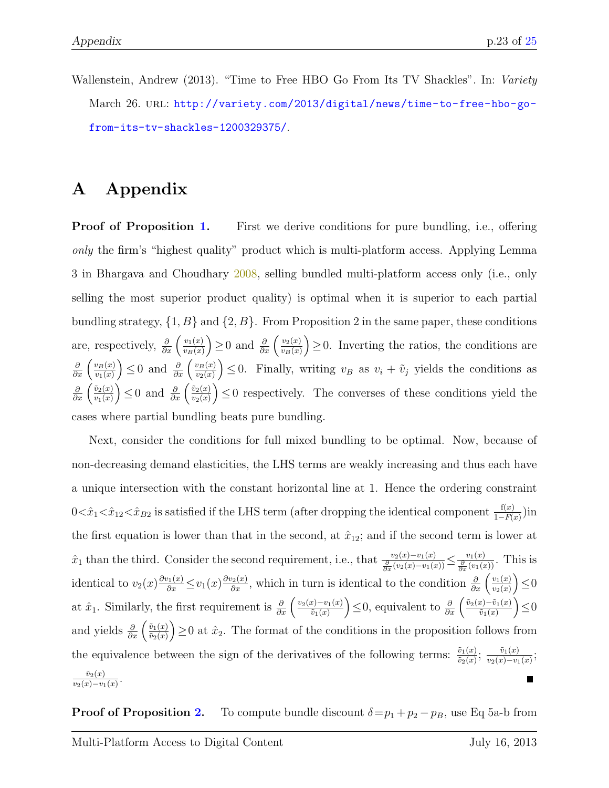<span id="page-23-0"></span>Wallenstein, Andrew (2013). "Time to Free HBO Go From Its TV Shackles". In: Variety March 26. URL: [http://variety.com/2013/digital/news/time-to-free-hbo-go](http://variety.com/2013/digital/news/time-to-free-hbo-go-from-its-tv-shackles-1200329375/)[from-its-tv-shackles-1200329375/](http://variety.com/2013/digital/news/time-to-free-hbo-go-from-its-tv-shackles-1200329375/).

# A Appendix

**Proof of Proposition [1.](#page-13-3)** First we derive conditions for pure bundling, i.e., offering only the firm's "highest quality" product which is multi-platform access. Applying Lemma 3 in Bhargava and Choudhary [2008,](#page-21-5) selling bundled multi-platform access only (i.e., only selling the most superior product quality) is optimal when it is superior to each partial bundling strategy,  $\{1, B\}$  and  $\{2, B\}$ . From Proposition 2 in the same paper, these conditions are, respectively,  $\frac{\partial}{\partial x} \left( \frac{v_1(x)}{v_B(x)} \right)$  $v_B(x)$ ) ≥ 0 and  $\frac{\partial}{\partial x}$   $\left(\frac{v_2(x)}{v_B(x)}\right)$  $v_B(x)$  $\left( \frac{1}{2} \right) \geq 0$ . Inverting the ratios, the conditions are  $\frac{\partial}{\partial x}\left(\frac{v_B(x)}{v_1(x)}\right)$  $v_1(x)$  $\left\{\right\}$  ≤ 0 and  $\frac{\partial}{\partial x}$   $\left(\frac{v_B(x)}{v_2(x)}\right)$  $v_2(x)$  $\left( \begin{array}{ll} 0. & \text{Finally, writing } v_B \text{ as } v_i + \tilde{v}_j \text{ yields the conditions as } \end{array} \right)$  $\frac{\partial}{\partial x}\left(\frac{\tilde{v}_2(x)}{v_1(x)}\right)$  $v_1(x)$ ) ≤ 0 and  $\frac{\partial}{\partial x}$   $\left(\frac{\tilde{v}_2(x)}{v_2(x)}\right)$  $v_2(x)$  $\left( \begin{array}{cc} 0 & \text{respectively.} \end{array} \right)$  The converses of these conditions yield the cases where partial bundling beats pure bundling.

Next, consider the conditions for full mixed bundling to be optimal. Now, because of non-decreasing demand elasticities, the LHS terms are weakly increasing and thus each have a unique intersection with the constant horizontal line at 1. Hence the ordering constraint  $0 \lt \hat{x}_1 \lt \hat{x}_{12} \lt \hat{x}_{B2}$  is satisfied if the LHS term (after dropping the identical component  $\frac{f(x)}{1 - F(x)}$ ) in the first equation is lower than that in the second, at  $\hat{x}_{12}$ ; and if the second term is lower at  $\hat{x}_1$  than the third. Consider the second requirement, i.e., that  $\frac{v_2(x)-v_1(x)}{\frac{\partial}{\partial x}(v_2(x)-v_1(x))} \leq \frac{v_1(x)}{\frac{\partial}{\partial x}(v_1(x))}$ . This is identical to  $v_2(x) \frac{\partial v_1(x)}{\partial x} \le v_1(x) \frac{\partial v_2(x)}{\partial x}$ , which in turn is identical to the condition  $\frac{\partial}{\partial x} \left( \frac{v_1(x)}{v_2(x)} \right)$  $v_2(x)$  $\Big) \leq 0$ at  $\hat{x}_1$ . Similarly, the first requirement is  $\frac{\partial}{\partial x} \left( \frac{v_2(x) - v_1(x)}{\tilde{v}_1(x)} \right)$  $\tilde{v}_1(x)$ )≤0, equivalent to  $\frac{\partial}{\partial x}$   $\left( \frac{\tilde{v}_2(x) - \tilde{v}_1(x)}{\tilde{v}_1(x)} \right)$  $\tilde{v}_1(x)$  $\Big) \leq 0$ and yields  $\frac{\partial}{\partial x} \left( \frac{\tilde{v}_1(x)}{\tilde{v}_2(x)} \right)$  $\tilde v_2(x)$  $\left( \frac{1}{2} \right) \geq 0$  at  $\hat{x}_2$ . The format of the conditions in the proposition follows from the equivalence between the sign of the derivatives of the following terms:  $\frac{\tilde{v}_1(x)}{\tilde{v}_2(x)}$ ;  $\frac{\tilde{v}_1(x)}{v_2(x)-v_1}$  $\frac{v_1(x)}{v_2(x)-v_1(x)}$ ;  $\tilde v_2(x)$  $\frac{v_2(x)}{v_2(x)-v_1(x)}$ .

**Proof of Proposition [2.](#page-17-0)** To compute bundle discount  $\delta = p_1 + p_2 - p_B$ , use Eq 5a-b from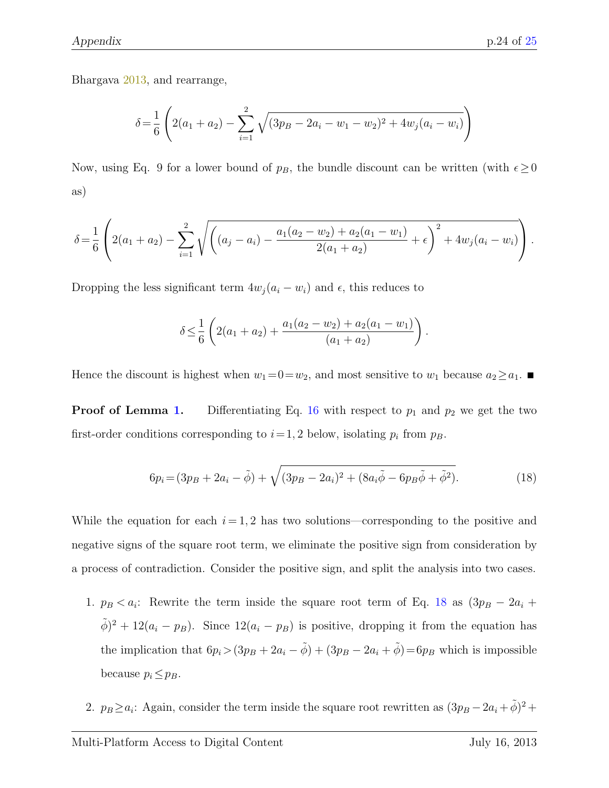Bhargava [2013,](#page-21-7) and rearrange,

$$
\delta = \frac{1}{6} \left( 2(a_1 + a_2) - \sum_{i=1}^{2} \sqrt{(3p_B - 2a_i - w_1 - w_2)^2 + 4w_j(a_i - w_i)} \right)
$$

Now, using Eq. 9 for a lower bound of  $p_B$ , the bundle discount can be written (with  $\epsilon \geq 0$ as)

$$
\delta = \frac{1}{6} \left( 2(a_1 + a_2) - \sum_{i=1}^2 \sqrt{\left( (a_j - a_i) - \frac{a_1(a_2 - w_2) + a_2(a_1 - w_1)}{2(a_1 + a_2)} + \epsilon \right)^2 + 4w_j(a_i - w_i)} \right).
$$

Dropping the less significant term  $4w_j (a_i - w_i)$  and  $\epsilon$ , this reduces to

<span id="page-24-0"></span>
$$
\delta \leq \frac{1}{6} \left( 2(a_1 + a_2) + \frac{a_1(a_2 - w_2) + a_2(a_1 - w_1)}{(a_1 + a_2)} \right).
$$

Hence the discount is highest when  $w_1=0=w_2$ , and most sensitive to  $w_1$  because  $a_2 \ge a_1$ .

**Proof of Lemma [1.](#page-19-0)** Differentiating Eq. [16](#page-19-1) with respect to  $p_1$  and  $p_2$  we get the two first-order conditions corresponding to  $i=1, 2$  below, isolating  $p_i$  from  $p_B$ .

$$
6p_i = (3p_B + 2a_i - \tilde{\phi}) + \sqrt{(3p_B - 2a_i)^2 + (8a_i\tilde{\phi} - 6p_B\tilde{\phi} + \tilde{\phi}^2)}.
$$
 (18)

While the equation for each  $i = 1, 2$  has two solutions—corresponding to the positive and negative signs of the square root term, we eliminate the positive sign from consideration by a process of contradiction. Consider the positive sign, and split the analysis into two cases.

- 1.  $p_B < a_i$ : Rewrite the term inside the square root term of Eq. [18](#page-24-0) as  $(3p_B 2a_i +$  $(\tilde{\phi})^2 + 12(a_i - p_B)$ . Since  $12(a_i - p_B)$  is positive, dropping it from the equation has the implication that  $6p_i>(3p_B + 2a_i - \tilde{\phi}) + (3p_B - 2a_i + \tilde{\phi}) = 6p_B$  which is impossible because  $p_i \leq p_B$ .
- 2.  $p_B \ge a_i$ : Again, consider the term inside the square root rewritten as  $(3p_B 2a_i + \tilde{\phi})^2$  +